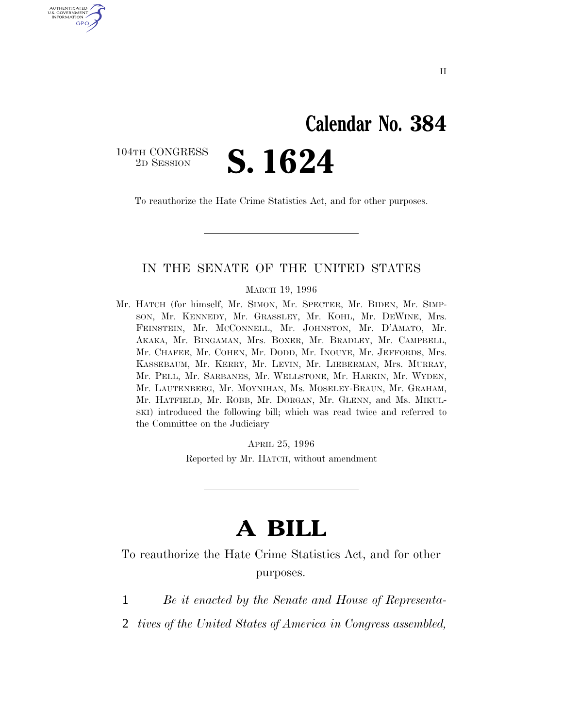## **Calendar No. 384**

 $\begin{array}{c} \text{104TH CONGRESS} \\ \text{2D SESION} \end{array}$ 

U.S. GOVERNMENT GPO

2D SESSION **S. 1624**

To reauthorize the Hate Crime Statistics Act, and for other purposes.

### IN THE SENATE OF THE UNITED STATES

MARCH 19, 1996

Mr. HATCH (for himself, Mr. SIMON, Mr. SPECTER, Mr. BIDEN, Mr. SIMP-SON, Mr. KENNEDY, Mr. GRASSLEY, Mr. KOHL, Mr. DEWINE, Mrs. FEINSTEIN, Mr. MCCONNELL, Mr. JOHNSTON, Mr. D'AMATO, Mr. AKAKA, Mr. BINGAMAN, Mrs. BOXER, Mr. BRADLEY, Mr. CAMPBELL, Mr. CHAFEE, Mr. COHEN, Mr. DODD, Mr. INOUYE, Mr. JEFFORDS, Mrs. KASSEBAUM, Mr. KERRY, Mr. LEVIN, Mr. LIEBERMAN, Mrs. MURRAY, Mr. PELL, Mr. SARBANES, Mr. WELLSTONE, Mr. HARKIN, Mr. WYDEN, Mr. LAUTENBERG, Mr. MOYNIHAN, Ms. MOSELEY-BRAUN, Mr. GRAHAM, Mr. HATFIELD, Mr. ROBB, Mr. DORGAN, Mr. GLENN, and Ms. MIKUL-SKI) introduced the following bill; which was read twice and referred to the Committee on the Judiciary

> APRIL 25, 1996 Reported by Mr. HATCH, without amendment

## **A BILL**

To reauthorize the Hate Crime Statistics Act, and for other purposes.

- 1 *Be it enacted by the Senate and House of Representa-*
- 2 *tives of the United States of America in Congress assembled,*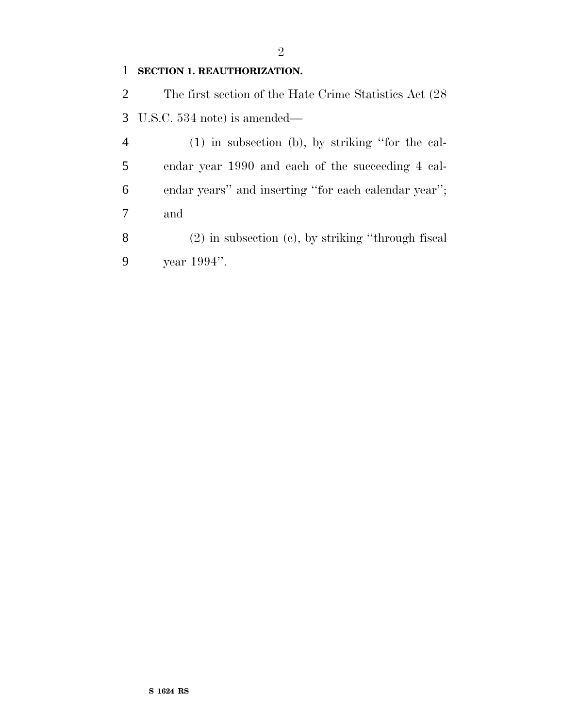#### **SECTION 1. REAUTHORIZATION.**

 The first section of the Hate Crime Statistics Act (28 U.S.C. 534 note) is amended—

 (1) in subsection (b), by striking ''for the cal- endar year 1990 and each of the succeeding 4 cal- endar years'' and inserting ''for each calendar year''; and

 (2) in subsection (c), by striking ''through fiscal year 1994''.